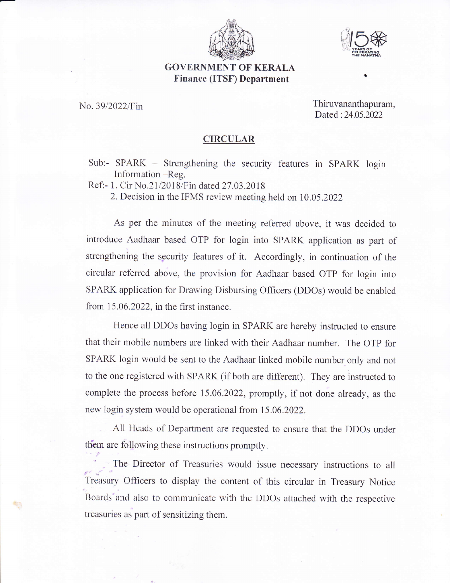



## GOVERNMENT OF KERALA Finance (ITSF) Department

No. 39/2022/Fin

Thiruvananthapuram, Dated :24.05.2022

## CIRCULAR

- Sub:- SPARK Strengthening the security features in SPARK login -Information -Reg.
- Ref:- 1. Cir No.21/2018/Fin dated 27.03.2018
	- 2. Decision in the IFMS review meeting held on 10.05.2022

As per the minutes of the meeting referred above, it was decided to introduce Aadhaar based OTP for login into SPARK application as part of strengthening the security features of it. Accordingly, in continuation of the circular referred above, the provision for Aadhaar based OTP for login into SPARK application for Drawing Disbursing Officers (DDOs) would be enabled from 15.06.2022, in the first instance.

Hence all DDOs having login in SPARK are hereby instructed to ensure that their mobile numbers are linked with their Aadhaar number. The OTP for SPARK login would be sent to the Aadhaar linked mobile number only and not to the one registered with SPARK (if both are different). They are instructed to complete the process before 15.06.2022, promptly, if not done already, as the new login system would be operational from 15.06.2022.

All Heads of Department are requested to ensure that the DDOs under them are following these instructions promptly.

The Director of Treasuries would issue necessary instructions to all Treasury Officers to display the content of this circular in Treasury Notice Boards and also to communicate with the DDOs attached with the respective treasuries as part of sensitizing them.